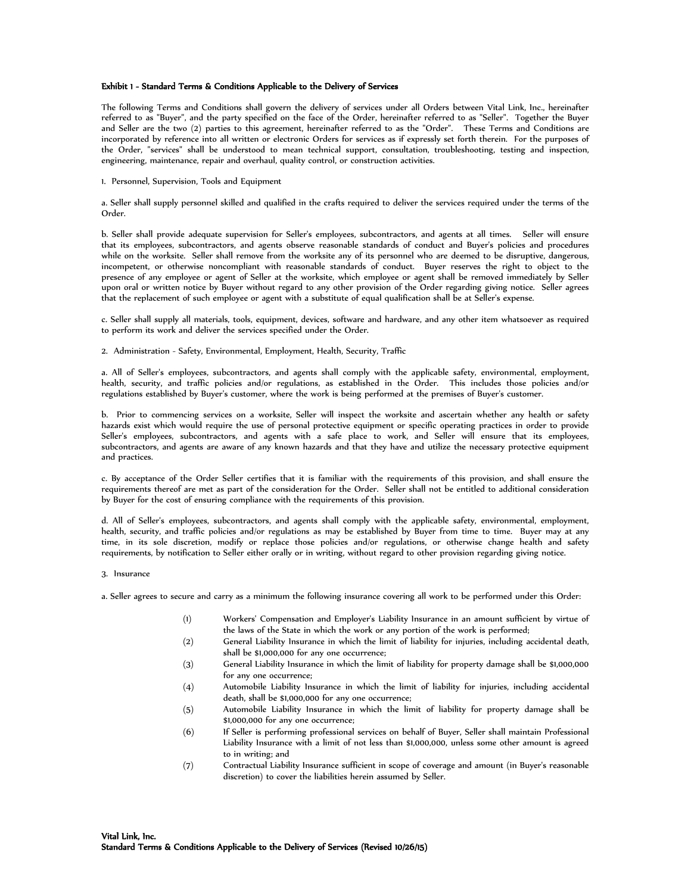# Exhibit 1 - Standard Terms & Conditions Applicable to the Delivery of Services

The following Terms and Conditions shall govern the delivery of services under all Orders between Vital Link, Inc., hereinafter referred to as "Buyer", and the party specified on the face of the Order, hereinafter referred to as "Seller". Together the Buyer and Seller are the two (2) parties to this agreement, hereinafter referred to as the "Order". These Terms and Conditions are incorporated by reference into all written or electronic Orders for services as if expressly set forth therein. For the purposes of the Order, "services" shall be understood to mean technical support, consultation, troubleshooting, testing and inspection, engineering, maintenance, repair and overhaul, quality control, or construction activities.

1. Personnel, Supervision, Tools and Equipment

a. Seller shall supply personnel skilled and qualified in the crafts required to deliver the services required under the terms of the Order.

b. Seller shall provide adequate supervision for Seller's employees, subcontractors, and agents at all times. Seller will ensure that its employees, subcontractors, and agents observe reasonable standards of conduct and Buyer's policies and procedures while on the worksite. Seller shall remove from the worksite any of its personnel who are deemed to be disruptive, dangerous, incompetent, or otherwise noncompliant with reasonable standards of conduct. Buyer reserves the right to object to the presence of any employee or agent of Seller at the worksite, which employee or agent shall be removed immediately by Seller upon oral or written notice by Buyer without regard to any other provision of the Order regarding giving notice. Seller agrees that the replacement of such employee or agent with a substitute of equal qualification shall be at Seller's expense.

c. Seller shall supply all materials, tools, equipment, devices, software and hardware, and any other item whatsoever as required to perform its work and deliver the services specified under the Order.

2. Administration - Safety, Environmental, Employment, Health, Security, Traffic

a. All of Seller's employees, subcontractors, and agents shall comply with the applicable safety, environmental, employment, health, security, and traffic policies and/or regulations, as established in the Order. This includes those policies and/or regulations established by Buyer's customer, where the work is being performed at the premises of Buyer's customer.

b. Prior to commencing services on a worksite, Seller will inspect the worksite and ascertain whether any health or safety hazards exist which would require the use of personal protective equipment or specific operating practices in order to provide Seller's employees, subcontractors, and agents with a safe place to work, and Seller will ensure that its employees, subcontractors, and agents are aware of any known hazards and that they have and utilize the necessary protective equipment and practices.

c. By acceptance of the Order Seller certifies that it is familiar with the requirements of this provision, and shall ensure the requirements thereof are met as part of the consideration for the Order. Seller shall not be entitled to additional consideration by Buyer for the cost of ensuring compliance with the requirements of this provision.

d. All of Seller's employees, subcontractors, and agents shall comply with the applicable safety, environmental, employment, health, security, and traffic policies and/or regulations as may be established by Buyer from time to time. Buyer may at any time, in its sole discretion, modify or replace those policies and/or regulations, or otherwise change health and safety requirements, by notification to Seller either orally or in writing, without regard to other provision regarding giving notice.

3. Insurance

a. Seller agrees to secure and carry as a minimum the following insurance covering all work to be performed under this Order:

- (1) Workers' Compensation and Employer's Liability Insurance in an amount sufficient by virtue of the laws of the State in which the work or any portion of the work is performed;
- (2) General Liability Insurance in which the limit of liability for injuries, including accidental death, shall be \$1,000,000 for any one occurrence;
- (3) General Liability Insurance in which the limit of liability for property damage shall be \$1,000,000 for any one occurrence;
- (4) Automobile Liability Insurance in which the limit of liability for injuries, including accidental death, shall be \$1,000,000 for any one occurrence;
- (5) Automobile Liability Insurance in which the limit of liability for property damage shall be \$1,000,000 for any one occurrence;
- (6) If Seller is performing professional services on behalf of Buyer, Seller shall maintain Professional Liability Insurance with a limit of not less than \$1,000,000, unless some other amount is agreed to in writing; and
- (7) Contractual Liability Insurance sufficient in scope of coverage and amount (in Buyer's reasonable discretion) to cover the liabilities herein assumed by Seller.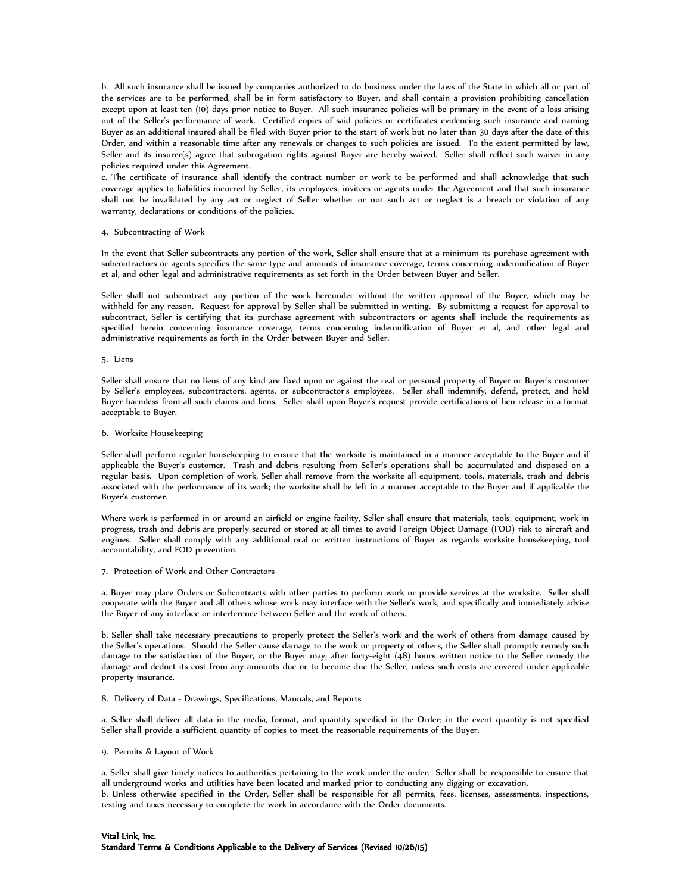b. All such insurance shall be issued by companies authorized to do business under the laws of the State in which all or part of the services are to be performed, shall be in form satisfactory to Buyer, and shall contain a provision prohibiting cancellation except upon at least ten (10) days prior notice to Buyer. All such insurance policies will be primary in the event of a loss arising out of the Seller's performance of work. Certified copies of said policies or certificates evidencing such insurance and naming Buyer as an additional insured shall be filed with Buyer prior to the start of work but no later than 30 days after the date of this Order, and within a reasonable time after any renewals or changes to such policies are issued. To the extent permitted by law, Seller and its insurer(s) agree that subrogation rights against Buyer are hereby waived. Seller shall reflect such waiver in any policies required under this Agreement.

c. The certificate of insurance shall identify the contract number or work to be performed and shall acknowledge that such coverage applies to liabilities incurred by Seller, its employees, invitees or agents under the Agreement and that such insurance shall not be invalidated by any act or neglect of Seller whether or not such act or neglect is a breach or violation of any warranty, declarations or conditions of the policies.

#### 4. Subcontracting of Work

In the event that Seller subcontracts any portion of the work, Seller shall ensure that at a minimum its purchase agreement with subcontractors or agents specifies the same type and amounts of insurance coverage, terms concerning indemnification of Buyer et al, and other legal and administrative requirements as set forth in the Order between Buyer and Seller.

Seller shall not subcontract any portion of the work hereunder without the written approval of the Buyer, which may be withheld for any reason. Request for approval by Seller shall be submitted in writing. By submitting a request for approval to subcontract, Seller is certifying that its purchase agreement with subcontractors or agents shall include the requirements as specified herein concerning insurance coverage, terms concerning indemnification of Buyer et al, and other legal and administrative requirements as forth in the Order between Buyer and Seller.

#### 5. Liens

Seller shall ensure that no liens of any kind are fixed upon or against the real or personal property of Buyer or Buyer's customer by Seller's employees, subcontractors, agents, or subcontractor's employees. Seller shall indemnify, defend, protect, and hold Buyer harmless from all such claims and liens. Seller shall upon Buyer's request provide certifications of lien release in a format acceptable to Buyer.

# 6. Worksite Housekeeping

Seller shall perform regular housekeeping to ensure that the worksite is maintained in a manner acceptable to the Buyer and if applicable the Buyer's customer. Trash and debris resulting from Seller's operations shall be accumulated and disposed on a regular basis. Upon completion of work, Seller shall remove from the worksite all equipment, tools, materials, trash and debris associated with the performance of its work; the worksite shall be left in a manner acceptable to the Buyer and if applicable the Buyer's customer.

Where work is performed in or around an airfield or engine facility, Seller shall ensure that materials, tools, equipment, work in progress, trash and debris are properly secured or stored at all times to avoid Foreign Object Damage (FOD) risk to aircraft and engines. Seller shall comply with any additional oral or written instructions of Buyer as regards worksite housekeeping, tool accountability, and FOD prevention.

#### 7. Protection of Work and Other Contractors

a. Buyer may place Orders or Subcontracts with other parties to perform work or provide services at the worksite. Seller shall cooperate with the Buyer and all others whose work may interface with the Seller's work, and specifically and immediately advise the Buyer of any interface or interference between Seller and the work of others.

b. Seller shall take necessary precautions to properly protect the Seller's work and the work of others from damage caused by the Seller's operations. Should the Seller cause damage to the work or property of others, the Seller shall promptly remedy such damage to the satisfaction of the Buyer, or the Buyer may, after forty-eight (48) hours written notice to the Seller remedy the damage and deduct its cost from any amounts due or to become due the Seller, unless such costs are covered under applicable property insurance.

# 8. Delivery of Data - Drawings, Specifications, Manuals, and Reports

a. Seller shall deliver all data in the media, format, and quantity specified in the Order; in the event quantity is not specified Seller shall provide a sufficient quantity of copies to meet the reasonable requirements of the Buyer.

### 9. Permits & Layout of Work

a. Seller shall give timely notices to authorities pertaining to the work under the order. Seller shall be responsible to ensure that all underground works and utilities have been located and marked prior to conducting any digging or excavation.

b. Unless otherwise specified in the Order, Seller shall be responsible for all permits, fees, licenses, assessments, inspections, testing and taxes necessary to complete the work in accordance with the Order documents.